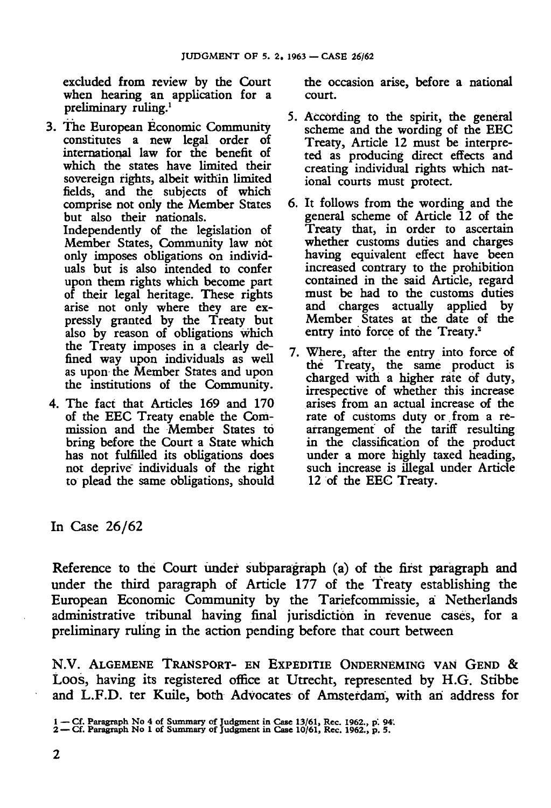excluded from review by the Court when hearing an application for <sup>a</sup> preliminary ruling. 1

3. The European Economic Community constitutes a new legal order of international law for the benefit of which the states have limited their sovereign rights, albeit within limited fields, and the subjects of which comprise not only the Member States but also their nationals.

Independendy of the legislation of Member States, Community law not only imposes obligations on individuals but is also intended to confer upon them rights which become part of their legal heritage. These rights arise not only where they are expressly granted by the Treaty but also by reason of obligations which the Treaty imposes in <sup>a</sup> clearly defined way upon individuals as well as upon the Member States and upon the institutions of the Community.

4. The fact that Articles 169 and 170 of the EEC Treaty enable the Commission and the Member States to bring before the Court <sup>a</sup> State which has not fulfilled its obligations does not deprive individuals of the right to plead the same obligations, should the occasion arise, before a national court.

- 5. According to the spirit, the general scheme and the wording of the EEC Treaty, Article <sup>12</sup> must be interpreted as producing direct effects and creating individual rights which national courts must protect.
- 6. It follows from the wording and the general scheme of Article 12 of the Treaty that, in order to ascertain whether customs duties and charges having equivalent effect have been increased contrary to the prohibition contained in the said Article, regard must be had to the customs duties and charges actually applied by Member States at the date of the entry into force of the Treaty.<sup>2</sup>
- 7. Where, after the entry into force of the Treaty, the same product is charged with a higher rate of duty, irrespective of whether this increase arises from an actual increase of the rate of customs duty or from <sup>a</sup> rearrangement of the tariff resulting in the classification of the product under a more highly taxed heading, such increase is illegal under Article 12 of the EEC Treaty.

In Case 26/62

Reference to the Court under subparagraph (a) of the first paragraph and under the third paragraph of Article 177 of the Treaty establishing the European Economic Community by the Tariefcommissie, <sup>a</sup> Netherlands administrative tribunal having final jurisdiction in revenue cases, for <sup>a</sup> preliminary ruling in the action pending before that court between

N.V. Algemene TRANSPORT— en Expeditie Onderneming VAN GEND & Loos, having its registered office at Utrecht, represented by H.G. Stibbe and L.F.D. ter Kuile, both Advocates of Amsterdam, with an address for

<sup>1</sup> — Cf. Paragraph No <sup>4</sup> of Summary of Judgment in Case 13/61, Rec. 1962., p. 94. 2 — Cf. Paragraph No <sup>1</sup> of Summary of Judgment in Case 10/61, Rec. 1962., p. 5.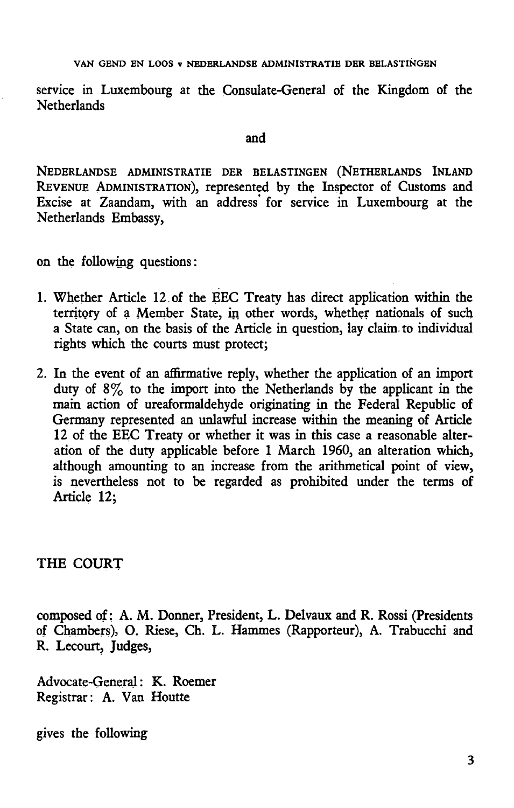service in Luxembourg at the Consulate-General of the Kingdom of the **Netherlands** 

#### and

nederlandse ADMINISTRATIE der belastingen (netherlands inland Revenue ADMINISTRATION), represented by the Inspector of Customs and Excise at Zaandam, with an address for service in Luxembourg at the Netherlands Embassy,

on the following questions:

- 1. Whether Article 12. of the EEC Treaty has direct application within the territory of <sup>a</sup> Member State, in other words, whether nationals of such <sup>a</sup> State can, on the basis of the Article in question, lay claim to individual rights which the courts must protect;
- 2. In the event of an affirmative reply, whether the application of an import duty of 8% to the import into the Netherlands by the applicant in the main action of ureaformaldehyde originating in the Federal Republic of Germany represented an unlawful increase within the meaning of Article <sup>12</sup> of the EEC Treaty or whether it was in this case <sup>a</sup> reasonable alteration of the duty applicable before <sup>1</sup> March 1960, an alteration which, although amounting to an increase from the arithmetical point of view, is nevertheless not to be regarded as prohibited under the terms of Article 12;

THE COURT

composed of: A. M. Dormer, President, L. Delvaux and R. Rossi (Presidents of Chambers), O. Riese, Ch. L. Hammes (Rapporteur), A. Trabucchi and R. Lecourt, Judges,

Advocate-General: K. Roemer Registrar: A. Van Houtte

gives the following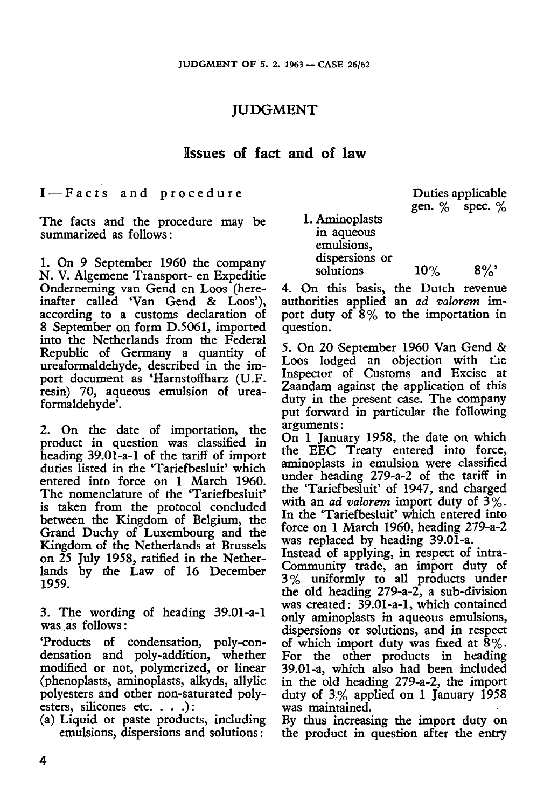# JUDGMENT

### Issues of fact and of law

I-Facts and procedure

The facts and the procedure may be summarized as follows:

1. On 9 September 1960 the company N. V. Algemene Transport- en Expeditie Onderneming van Gend en Loos (hereinafter called 'Van Gend & Loos'), according to <sup>a</sup> customs declaration of 8 September on form D.5061, imported into the Netherlands from the Federal Republic of Germany <sup>a</sup> quantity of ureaformaldehyde, described in the import document as 'Harnstoffharz (U.F. resin) 70, aqueous emulsion of ureaformaldehyde'.

2. On the date of importation, the product in question was classified in heading 39.01-a-1 of the tariff of import duties listed in the 'Tariefbesluit' which entered into force on <sup>1</sup> March 1960. The nomenclature of the 'Tariefbesluit' is taken from the protocol concluded between the Kingdom of Belgium, the Grand Duchy of Luxembourg and the Kingdom of the Netherlands at Brussels on <sup>25</sup> July 1958, ratified in the Netherlands by the Law of 16 December 1959.

3. The wording of heading 39.01-a-l was as follows:

'Products of condensation, poly-condensation and poly-addition, whether modified or not, polymerized, or linear (phenoplasts, aminoplasts, alkyds, allylic polyesters and other non-saturated polyesters, silicones etc. . . .):

(a) Liquid or paste products, including emulsions, dispersions and solutions:

|                |     | gen. $%$ spec. $%$ |
|----------------|-----|--------------------|
| 1. Aminoplasts |     |                    |
| in aqueous     |     |                    |
| emulsions,     |     |                    |
| dispersions or |     |                    |
| solutions      | 10% | $8\%$              |
|                |     |                    |

Duties applicable

4. On this basis, the Dutch revenue authorities applied an *ad valorem* import duty of 8% to the importation in question.

5. On 20 September 1960 Van Gend & Loos lodged an objection with the Inspector of Customs and Excise at Zaandam against the application of this duty in the present case. The company put forward in particular the following arguments:

On <sup>1</sup> January 1958, the date on which the EEC Treaty entered into force, aminoplasts in emulsion were classified under heading 279-a-2 of the tariff in the 'Tariefbesluit' of 1947, and charged with an *ad valorem* import duty of 3%. with an all *ballowday* import duty of  $3\frac{1}{6}$ .<br>In the 'Tariefbesluit' which entered into force on <sup>1</sup> March 1960, heading 279-a-2 was replaced by heading 39.01-a.

Instead of applying, in respect of intra-Community trade, an import duty of 3% uniformly to all products under the old heading 279-a-2, a sub-division was created: 39.01-a-l, which contained only aminoplasts in aqueous emulsions, dispersions or solutions, and in respect of which import duty was fixed at 8%. For the other products in heading 39.01-a, which also had been included in the old heading 279-a-2, the import duty of 3;% applied on <sup>1</sup> January 1958 was maintained.

By thus increasing the import duty on the product in question after the entry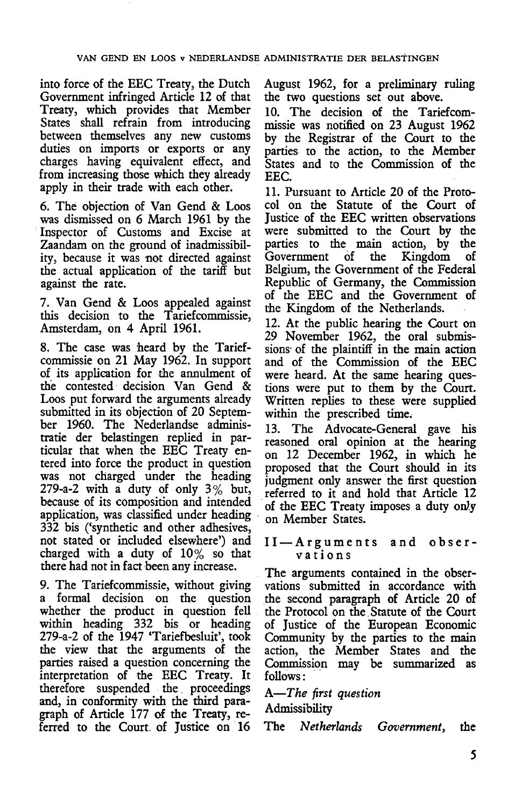#### VAN GEND EN LOOS v NEDERLANDSE ADMINISTRATIS DER BELASTINGEN

into force of the EEC Treaty, the Dutch Government infringed Article 12 of that Treaty, which provides that Member States shall refrain from introducing between themselves any new customs duties on imports or exports or any charges having equivalent effect, and from increasing those which they already apply in their trade with each other.

6. The objection of Van Gend & Loos was dismissed on 6 March 1961 by the Inspector of Customs and Excise at Zaandam on the ground of inadmissibility, because it was not directed against the actual application of the tariff but against the rate.

7. Van Gend & Loos appealed against this decision to the Tariefcommissie, Amsterdam, on 4 April 1961.

8. The case was heard by the Tariefcommissie on <sup>21</sup> May 1962. In support of its application for the annulment of the contested decision Van Gend & Loos put forward the arguments already submitted in its objection of 20 September 1960. The Nederlandse administratie der belastingen replied in particular that when the EEC Treaty entered into force the product in question was not charged under the heading 279-a-2 with <sup>a</sup> duty of only 3% but, because of its composition and intended application, was classified under heading 332 bis ('synthetic and other adhesives, not stated or included elsewhere') and charged with a duty of  $10\%$  so that there had not in fact been any increase.

9. The Tariefcommissie, without giving a formal decision on the question whether the product in question fell within heading 332 bis or heading 279-a-2 of the 1947 'Tariefbesluit', took the view that the arguments of the parties raised <sup>a</sup> question concerning the interpretation of the EEC Treaty. It therefore suspended the proceedings and, in conformity with the third paragraph of Article <sup>177</sup> of the Treaty, referred to the Court of Justice on 16

August 1962, for a preliminary ruling the two questions set out above.

10. The decision of the Tariefcommissie was notified on 23 August 1962 by the Registrar of the Court to the parties to the action, to the Member States and to the Commission of the EEC.

11. Pursuant to Article 20 of the Protocol on the Statute of the Court of Justice of the EEC written observations were submitted to the Court by the parties to the main action, by the Government of the Kingdom of Belgium, the Government of the Federal Republic of Germany, the Commission of the EEC and the Government of the Kingdom of the Netherlands.

12. At the public hearing the Court on 29 November 1962, the oral submissions of the plaintiff in the main action and of the Commission of the EEC were heard. At the same hearing questions were put to them by the Court. Written replies to these were supplied within the prescribed time.

13. The Advocate-General gave his reasoned oral opinion at the hearing on 12 December 1962, in which he proposed that the Court should in its judgment only answer the first question referred to it and hold that Article <sup>12</sup> of the EEC Treaty imposes <sup>a</sup> duty only on Member States.

## II — Arguments and observations

The arguments contained in the observations submitted in accordance with the second paragraph of Article 20 of the Protocol on the Statute of the Court of Justice of the European Economic Community by the parties to the main action, the Member States and the Commission may be summarized as follows:

A—*The first question* Admissibility

The *Netherlands Government,* the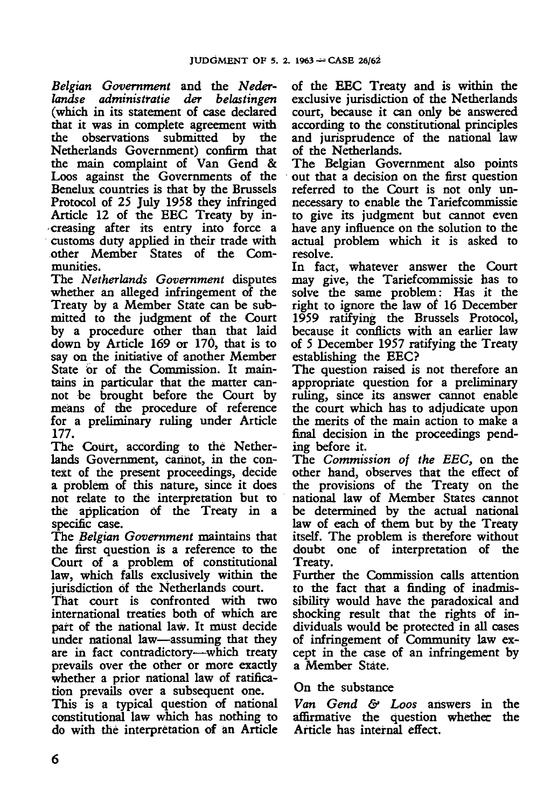*Belgian Government* and the *Nederlandse administratie der belastingen* (which in its statement of case declared that it was in complete agreement with the observations submitted by the Netherlands Government) confirm that the main complaint of Van Gend & Loos against tie Governments of the Benelux countries is that by the Brussels Protocol of 25 July 1958 they infringed Article <sup>12</sup> of the EEC Treaty by increasing after its entry into force <sup>a</sup> customs duty applied in their trade with other Member States of the Communities.

The *Netherlands Government* disputes whether an alleged infringement of the Treaty by <sup>a</sup> Member State can be submitted to the judgment of the Court by <sup>a</sup> procedure other than that laid down by Article 169 or 170, that is to say on the initiative of another Member State br of the Commission. It maintains in particular that the matter cannot be brought before the Court by means of the procedure of reference for <sup>a</sup> preliminary ruling under Article 177.

The Court, according to the Netherlands Government, cannot, in the context of the present proceedings, decide <sup>a</sup> problem of this nature, since it does not relate to the interpretation but to the application of the Treaty in <sup>a</sup> specific case.

The *Belgian Government* maintains that the first question is a reference to the Court of a problem of constitutional law, which falls exclusively within the jurisdiction of the Netherlands court.

That court is confronted with two international treaties both of which are part of the national law. It must decide under national law—assuming that they are in fact contradictory—which treaty prevails over the other or more exactly whether <sup>a</sup> prior national law of ratification prevails over a subsequent one.

This is a typical question of national constitutional law which has nothing to do with the interpretation of an Article

of the EEC Treaty and is within the exclusive jurisdiction of the Netherlands court, because it can only be answered according to the constitutional principles and jurisprudence of the national law of the Netherlands.

The Belgian Government also points out that a decision on the first question referred to the Court is not only unnecessary to enable the Tariefcommissie to give its judgment but cannot even have any influence on the solution to the actual problem which it is asked to resolve.

In fact, whatever answer the Court may give, the Tariefcommissie has to solve the same problem : Has it the right to ignore the law of 16 December 1959 ratifying the Brussels Protocol, because it conflicts with an earlier law of <sup>5</sup> December 1957 ratifying the Treaty establishing the EEC?

The question raised is not therefore an appropriate question for <sup>a</sup> preliminary ruling, since its answer cannot enable the court which has to adjudicate upon the merits of the main action to make a final decision in the proceedings pending before it.

The *Commission of the EEC,* on the other hand, observes that the effect of the provisions of the Treaty on the national law of Member States cannot be determined by the actual national law of each of them but by the Treaty itself. The problem is therefore without doubt one of interpretation of the Treaty.

Further the Commission calls attention to the fact that <sup>a</sup> finding of inadmissibility would have the paradoxical and shocking result that the rights of individuals would be protected in all cases of infringement of Community law except in the case of an infringement by a Member State.

### On the substance

*Van Gend & Loos* answers in the affirmative the question whether the Article has internal effect.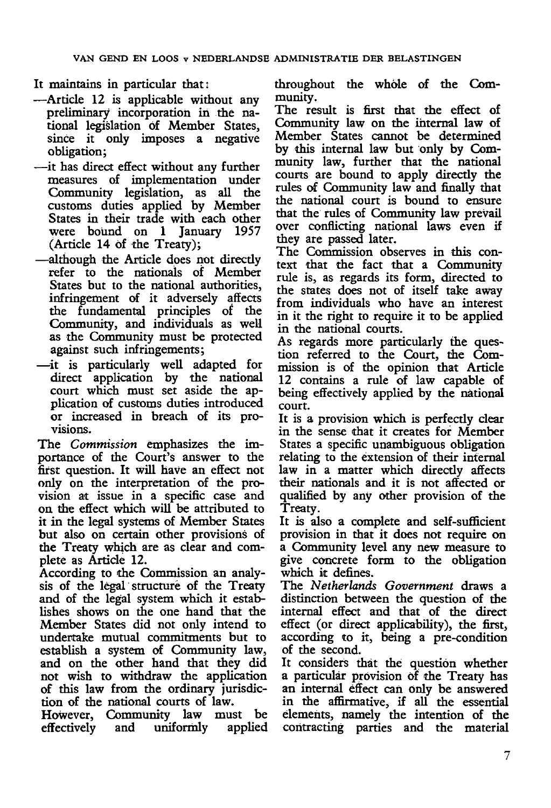It maintains in particular that:

- —Article 12 is applicable without any preliminary incorporation in the national legislation of Member States, since it only imposes <sup>a</sup> negative obligation;
- —it has direct effect without any further measures of implementation under Community legislation, as all the customs duties applied by Member States in their trade with each other were bound on <sup>1</sup> January 1957 (Article 14 of the Treaty);
- —although the Article does not directly refer to the nationals of Member States but to the national authorities, infringement of it adversely affects the fundamental principles of the Community, and individuals as well as the Community must be protected against such infringements;
- it is particularly well adapted for direct application by the national court which must set aside the application of customs duties introduced or increased in breach of its provisions.

The *Commission* emphasizes the importance of the Court's answer to the first question. It will have an effect not only on the interpretation of the provision at issue in <sup>a</sup> specific case and on the effect which will be attributed to it in the legal systems of Member States but also on certain other provisions of the Treaty which are as clear and complete as Article 12.

According to the Commission an analysis of the legal structure of the Treaty and of the legal system which it establishes shows on the one hand that the Member States did not only intend to undertake mutual commitments but to establish <sup>a</sup> system of Community law, and on the other hand that they did not wish to withdraw the application of this law from the ordinary jurisdiction of the national courts of law.

However, Community law must be effectively and uniformly applied

throughout the whole of the Community.

The result is first that the effect of Community law on the internal law of Member States cannot be determined by this internal law but only by Community law, further that the national courts are bound to apply directly the rules of Community law and finally that the national court is bound to ensure that the rules of Community law prevail over conflicting national laws even if they are passed later.

The Commission observes in this context that the fact that <sup>a</sup> Community rule is, as regards its form, directed to the states does not of itself take away from individuals who have an interest in it the right to require it to be applied in the national courts.

As regards more particularly the question referred to the Court, the Commission is of the opinion that Article 12 contains a rule of law capable of being effectively applied by the national court.

It is <sup>a</sup> provision which is perfectly clear in the sense that it creates for Member States a specific unambiguous obligation relating to the extension of their internal law in <sup>a</sup> matter which directly affects their nationals and it is not affected or qualified by any other provision of the Treaty.

It is also <sup>a</sup> complete and self-sufficient provision in that it does not require on <sup>a</sup> Community level any new measure to give concrete form to the obligation which it defines.

The *Netherlands Government* draws a distinction between the question of the internal effect and that of the direct effect (or direct applicability), the first, according to it, being <sup>a</sup> pre-condition of the second.

It considers that the question whether <sup>a</sup> particular provision of the Treaty has an internal effect can only be answered in the affirmative, if all the essential elements, namely the intention of the contracting parties and the material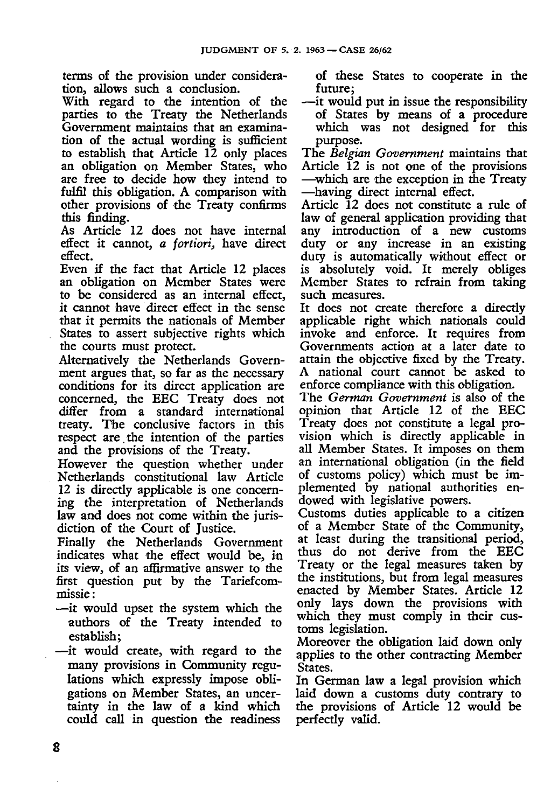terms of the provision under consideration, allows such a conclusion.

With regard to the intention of the parties to the Treaty the Netherlands Government maintains that an examination of the actual wording is sufficient to establish that Article <sup>12</sup> only places an obligation on Member States, who are free to decide how they intend to fulfil this obligation. A comparison with other provisions of the Treaty confirms this finding.

As Article 12 does not have internal effect it cannot, *<sup>a</sup> fortiori,* have direct effect.

Even if the fact that Article <sup>12</sup> places an obligation on Member States were to be considered as an internal effect, it cannot have direct effect in the sense that it permits the nationals of Member States to assert subjective rights which the courts must protect.

Alternatively the Netherlands Government argues that, so far as the necessary conditions for its direct application are concerned, the EEC Treaty does not differ from a standard international treaty. The conclusive factors in this respect are the intention of the parties and the provisions of the Treaty.

However the question whether under Netherlands constitutional law Article <sup>12</sup> is directly applicable is one concerning the interpretation of Netherlands law and does not come within the jurisdiction of the Court of Justice.

Finally the Netherlands Government indicates what the effect would be, in its view, of an affirmative answer to the first question put by the Tariefcommissie :

- —it would upset the system which the authors of the Treaty intended to establish;
- —it would create, with regard to the many provisions in Community regulations which expressly impose obligations on Member States, an uncertainty in the law of <sup>a</sup> kind which could call in question the readiness

of these States to cooperate in the future;

—it would put in issue the responsibility of States by means of <sup>a</sup> procedure which was not designed for this purpose.

The *Belgian Government* maintains that Article  $\overline{12}$  is not one of the provisions —which are the exception in the Treaty —having direct internal effect.

Article 12 does not constitute a rule of law of general application providing that any introduction of <sup>a</sup> new customs duty or any increase in an existing duty is automatically without effect or is absolutely void. It merely obliges Member States to refrain from taking such measures.

It does not create therefore <sup>a</sup> directly applicable right which nationals could invoke and enforce. It requires from Governments action at a later date to attain the objective fixed by the Treaty. A national court cannot be asked to enforce compliance with this obligation.

The *German Government* is also of the opinion that Article 12 of the EEC Treaty does not constitute <sup>a</sup> legal provision which is directly applicable in all Member States. It imposes on them an international obligation (in the field of customs policy) which must be implemented by national authorities endowed with legislative powers.

Customs duties applicable to a citizen of <sup>a</sup> Member State of the Community, at least during the transitional period, thus do not derive from the EEC Treaty or the legal measures taken by the institutions, but from legal measures enacted by Member States. Article 12 only lays down the provisions with which they must comply in their customs legislation.

Moreover the obligation laid down only applies to the other contracting Member States.

In German law <sup>a</sup> legal provision which laid down <sup>a</sup> customs duty contrary to the provisions of Article 12 would be perfectly valid.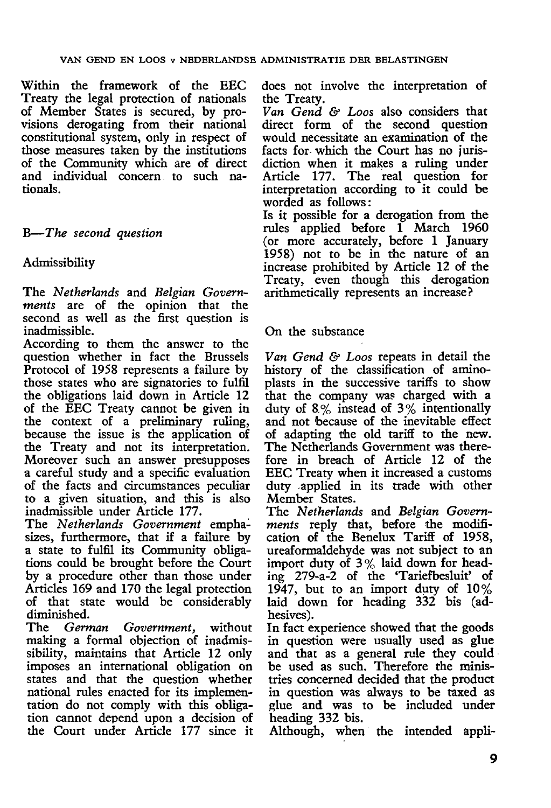Within the framework of the EEC Treaty the legal protection of nationals of Member States is secured, by provisions derogating from their national constitutional system, only in respect of those measures taken by the institutions of the Community which are of direct and individual concern to such nationals.

### B—*The second question*

### Admissibility

The *Netherlands* and *Belgian Governments* are of the opinion that the second as well as the first question is inadmissible.

According to them the answer to the question whether in fact the Brussels Protocol of 1958 represents a failure by those states who are signatories to fulfil the obligations laid down in Article 12 of the EEC Treaty cannot be given in the context of a preliminary ruling, because the issue is the application of the Treaty and not its interpretation. Moreover such an answer presupposes a careful study and <sup>a</sup> specific evaluation of the facts and circumstances peculiar to <sup>a</sup> given situation, and this is also inadmissible under Article 177.

The *Netherlands Government* emphasizes, furthermore, that if <sup>a</sup> failure by <sup>a</sup> state to fulfil its Community obligations could be brought before the Court by a procedure other than those under Articles 169 and 170 the legal protection of that state would be considerably diminished.

The *German Government,* without making <sup>a</sup> formal objection of inadmissibility, maintains that Article <sup>12</sup> only imposes an international obligation on states and that the question whether national rules enacted for its implementation do not comply with this obliga-tion cannot depend upon <sup>a</sup> decision of the Court under Article 177 since it

does not involve the interpretation of the Treaty.

*Van Gend & Loos* also considers that direct form of the second question would necessitate an examination of the facts for which the Court has no jurisdiction when it makes <sup>a</sup> ruling under Article 177. The real question for interpretation according to it could be worded as follows:

Is it possible for <sup>a</sup> derogation from the rules applied before 1 March 1960 (or more accurately, before <sup>1</sup> January 1958) not to be in the nature of an increase prohibited by Article 12 of the Treaty, even though this derogation arithmetically represents an increase?

### On the substance

*Van Gend & Loos* repeats in detail the history of the classification of aminoplasts in the successive tariffs to show that the company was charged with <sup>a</sup> duty of 8% instead of 3% intentionally and not because of the inevitable effect of adapting the old tariff to the new. The Netherlands Government was therefore in breach of Article 12 of the EEC Treaty when it increased <sup>a</sup> customs duty applied in its trade with other Member States.

The *Netherlands* and *Belgian Governments* reply that, before the modification of the Benelux Tariff of 1958, ureaformaldehyde was not subject to an import duty of <sup>3</sup> % laid down for heading 279-a-2 of the Tariefbesluit' of 1947, but to an import duty of 10% laid down for heading 332 bis (adhesives).

In fact experience showed that the goods in question were usually used as glue and that as a general rule they could be used as such. Therefore the ministries concerned decided that the product in question was always to be taxed as glue and was to be included under heading 332 bis.

Although, when the intended appli-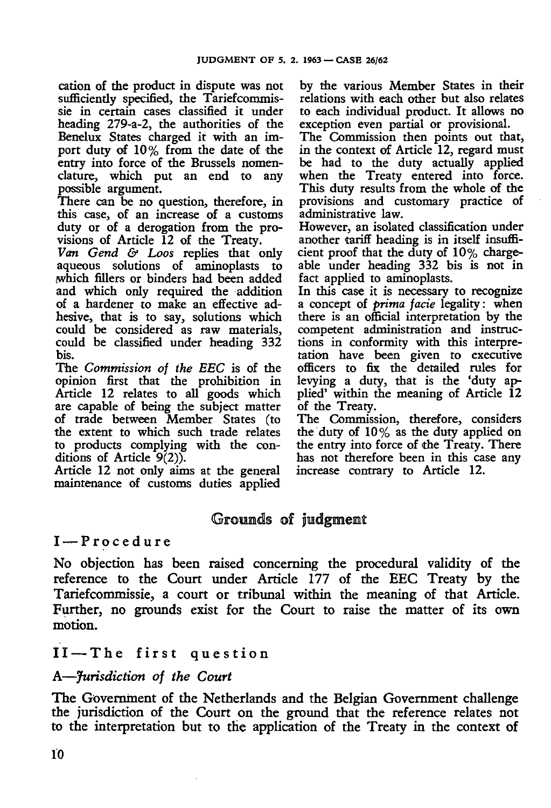cation of the product in dispute was not sufficiently specified, the Tariefcommissie in certain cases classified it under heading 279-a-2, the authorities of the Benelux States charged it with an import duty of 10% from the date of the entry into force of the Brussels nomenclature, which put an end to any possible argument.

There can be no question, therefore, in this case, of an increase of a customs duty or of <sup>a</sup> derogation from the provisions of Article  $\overline{1}2$  of the Treaty.

*Van Gend & Loos* replies that only aqueous solutions of aminoplasts to which fillers or binders had been added and which only required the addition of a hardener to make an effective adhesive, that is to say, solutions which could be considered as raw materials, could be classified under heading 332 bis.

The *Commission of the EEC* is of the opinion first that the prohibition in Article 12 relates to all goods which are capable of being the subject matter of trade between Member States (to the extent to which such trade relates to products complying with the conditions of Article  $9(2)$ ).

Article <sup>12</sup> not only aims at the general maintenance of customs duties applied by the various Member States in their relations with each other but also relates to each individual product. It allows no exception even partial or provisional.

The Commission then points out that, in the context of Article 12, regard must be had to the duty actually applied when the Treaty entered into force. This duty results from the whole of the provisions and customary practice of administrative law.

However, an isolated classification under another tariff heading is in itself insufficient proof that the duty of 10% chargeable under heading 332 bis is not in fact applied to aminoplasts.

In this case it is necessary to recognize <sup>a</sup> concept of *prima facie* legality: when there is an official interpretation by the competent administration and instructions in conformity with this interpretation have been given to executive officers to fix the detailed rules for levying <sup>a</sup> duty, that is the 'duty applied' within the meaning of Article <sup>12</sup> of the Treaty.

The Commission, therefore, considers the duty of 10% as the duty applied on the entry into force of the Treaty. There has not therefore been in this case any increase contrary to Article 12.

# Grounds of judgment

### I — Procedure

No objection has been raised concerning the procedural validity of the reference to the Court under Article 177 of the EEC Treaty by the Tariefcommissie, <sup>a</sup> court or tribunal within the meaning of that Article. Further, no grounds exist for the Court to raise the matter of its own motion.

# II — The first question

### A—*Jurisdiction of the Court*

The Government of the Netherlands and the Belgian Government challenge the jurisdiction of the Court on the ground that the reference relates not to the interpretation but to the application of the Treaty in the context of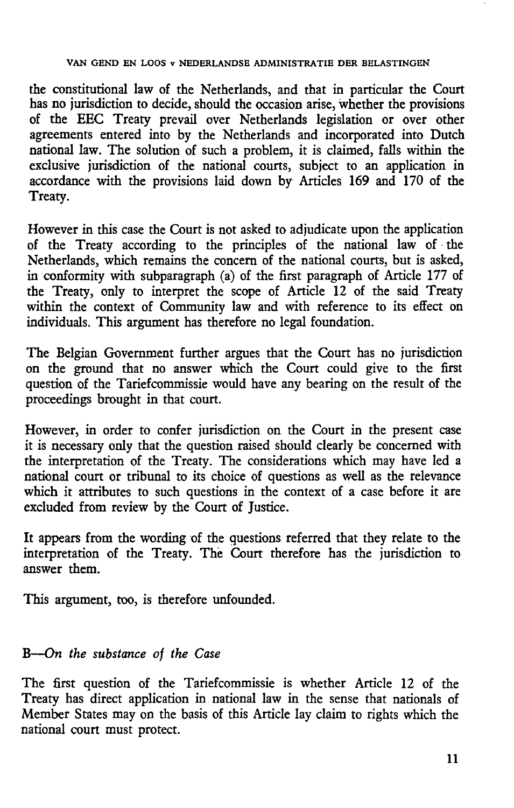### VAN GEND EN LOOS v NEDERLANDSE ADMINISTRATIS DER BELASTINGEN

the constitutional law of the Netherlands, and that in particular the Court has no jurisdiction to decide, should the occasion arise, whether the provisions of the EEC Treaty prevail over Netherlands legislation or over other agreements entered into by the Netherlands and incorporated into Dutch national law. The solution of such <sup>a</sup> problem, it is claimed, falls within the exclusive jurisdiction of the national courts, subject to an application in accordance with the provisions laid down by Articles 169 and 170 of the Treaty.

However in this case the Court is not asked to adjudicate upon the application of the Treaty according to the principles of the national law of the Netherlands, which remains the concern of the national courts, but is asked, in conformity with subparagraph (a) of the first paragraph of Article <sup>177</sup> of the Treaty, only to interpret the scope of Article <sup>12</sup> of the said Treaty within the context of Community law and with reference to its effect on individuals. This argument has therefore no legal foundation.

The Belgian Government further argues that the Court has no jurisdiction on the ground that no answer which the Court could give to the first question of the Tariefcommissie would have any bearing on the result of the proceedings brought in that court.

However, in order to confer jurisdiction on the Court in the present case it is necessary only that the question raised should clearly be concerned with the interpretation of the Treaty. The considerations which may have led <sup>a</sup> national court or tribunal to its choice of questions as well as the relevance which it attributes to such questions in the context of a case before it are excluded from review by the Court of Justice.

It appears from the wording of the questions referred that they relate to the interpretation of the Treaty. The Court therefore has the jurisdiction to answer them.

This argument, too, is therefore unfounded.

### B—*On the substance of the Case*

The first question of the Tariefcommissie is whether Article 12 of the Treaty has direct application in national law in the sense that nationals of Member States may on the basis of this Article lay claim to rights which the national court must protect.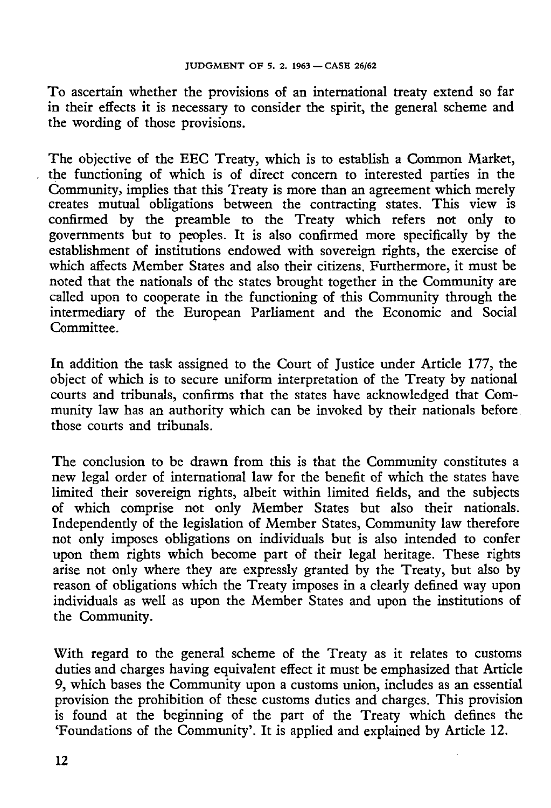To ascertain whether the provisions of an international treaty extend so far in their effects it is necessary to consider the spirit, the general scheme and the wording of those provisions.

The objective of the EEC Treaty, which is to establish <sup>a</sup> Common Market, the functioning of which is of direct concern to interested parties in the Community, implies that this Treaty is more than an agreement which merely creates mutual obligations between the contracting states. This view is confirmed by the preamble to the Treaty which refers not only to governments but to peoples. It is also confirmed more specifically by the establishment of institutions endowed with sovereign rights, the exercise of which affects Member States and also their citizens. Furthermore, it must be noted that the nationals of the states brought together in the Community are called upon to cooperate in the functioning of this Community through the intermediary of the European Parliament and the Economic and Social Committee.

In addition the task assigned to the Court of Justice under Article 177, the object of which is to secure uniform interpretation of the Treaty by national courts and tribunals, confirms that the states have acknowledged that Community law has an authority which can be invoked by their nationals before those courts and tribunals.

The conclusion to be drawn from this is that the Community constitutes <sup>a</sup> new legal order of international law for the benefit of which the states have limited their sovereign rights, albeit within limited fields, and the subjects of which comprise not only Member States but also their nationals. Independently of the legislation of Member States, Community law therefore not only imposes obligations on individuals but is also intended to confer upon them rights which become part of their legal heritage. These rights arise not only where they are expressly granted by the Treaty, but also by reason of obligations which the Treaty imposes in <sup>a</sup> clearly defined way upon individuals as well as upon the Member States and upon the institutions of the Community.

With regard to the general scheme of the Treaty as it relates to customs duties and charges having equivalent effect it must be emphasized that Article 9, which bases the Community upon <sup>a</sup> customs union, includes as an essential provision the prohibition of these customs duties and charges. This provision is found at the beginning of the part of the Treaty which defines the 'Foundations of the Community'. It is applied and explained by Article 12.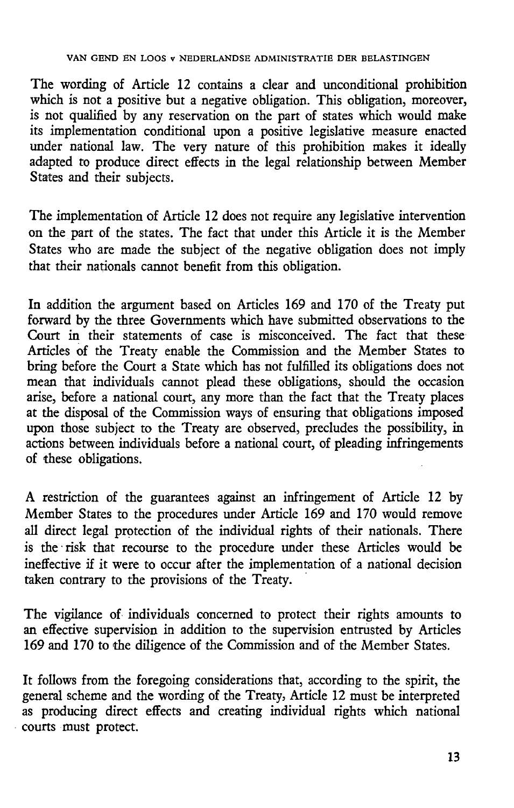The wording of Article <sup>12</sup> contains <sup>a</sup> clear and unconditional prohibition which is not <sup>a</sup> positive but <sup>a</sup> negative obligation. This obligation, moreover, is not qualified by any reservation on the part of states which would make its implementation conditional upon a positive legislative measure enacted under national law. The very nature of this prohibition makes it ideally adapted to produce direct effects in the legal relationship between Member States and their subjects.

The implementation of Article <sup>12</sup> does not require any legislative intervention on the part of the states. The fact that under this Article it is the Member States who are made the subject of the negative obligation does not imply that their nationals cannot benefit from this obligation.

In addition the argument based on Articles 169 and 170 of the Treaty put forward by the three Governments which have submitted observations to the Court in their statements of case is misconceived. The fact that these Articles of the Treaty enable the Commission and the Member States to bring before the Court <sup>a</sup> State which has not fulfilled its obligations does not mean that individuals cannot plead these obligations, should the occasion arise, before <sup>a</sup> national court, any more than the fact that the Treaty places at the disposal of the Commission ways of ensuring that obligations imposed upon those subject to the Treaty are observed, precludes the possibility, in actions between individuals before <sup>a</sup> national court, of pleading infringements of these obligations.

A restriction of the guarantees against an infringement of Article 12 by Member States to the procedures under Article 169 and 170 would remove all direct legal protection of the individual rights of their nationals. There is the risk that recourse to the procedure under these Articles would be ineffective if it were to occur after the implementation of <sup>a</sup> national decision taken contrary to the provisions of the Treaty.

The vigilance of individuals concerned to protect their rights amounts to an effective supervision in addition to the supervision entrusted by Articles 169 and 170 to the diligence of the Commission and of the Member States.

It follows from the foregoing considerations that, according to the spirit, the general scheme and the wording of the Treaty, Article <sup>12</sup> must be interpreted as producing direct effects and creating individual rights which national courts must protect.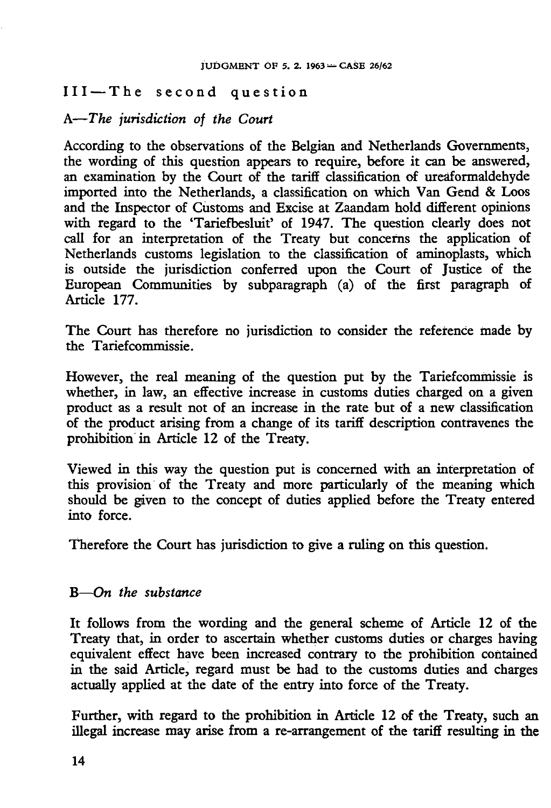# III— The second question

## A—*The jurisdiction of the Court*

According to the observations of the Belgian and Netherlands Governments, the wording of this question appears to require, before it can be answered, an examination by the Court of the tariff classification of ureaformaldehyde imported into the Netherlands, <sup>a</sup> classification on which Van Gend & Loos and the Inspector of Customs and Excise at Zaandam hold different opinions with regard to the 'Tariefbesluit' of 1947. The question clearly does not call for an interpretation of the Treaty but concerns the application of Netherlands customs legislation to the classification of aminoplasts, which is outside the jurisdiction conferred upon the Court of Justice of the European Communities by subparagraph (a) of the first paragraph of Article 177.

The Court has therefore no jurisdiction to consider the reference made by the Tariefcommissie.

However, the real meaning of the question put by the Tariefcommissie is whether, in law, an effective increase in customs duties charged on a given product as a result not of an increase in the rate but of <sup>a</sup> new classification of the product arising from <sup>a</sup> change of its tariff description contravenes the prohibition in Article 12 of the Treaty.

Viewed in this way the question put is concerned with an interpretation of this provision of the Treaty and more particularly of the meaning which should be given to the concept of duties applied before the Treaty entered into force.

Therefore the Court has jurisdiction to give <sup>a</sup> ruling on this question.

### B—*On the substance*

It follows from the wording and the general scheme of Article <sup>12</sup> of the Treaty that, in order to ascertain whether customs duties or charges having equivalent effect have been increased contrary to the prohibition contained in the said Article, regard must be had to the customs duties and charges actually applied at the date of the entry into force of the Treaty.

Further, with regard to the prohibition in Article 12 of the Treaty, such an illegal increase may arise from <sup>a</sup> re-arrangement of the tariff resulting in the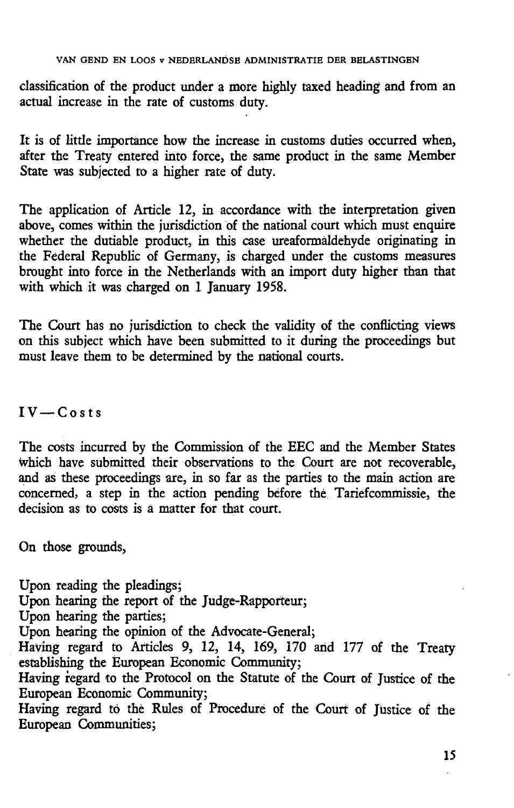VAN GEND EN LOOS v NEDERLANDSE ADMINISTRATE DER BELASTINGEN

classification of the product under <sup>a</sup> more highly taxed heading and from an actual increase in the rate of customs duty.

It is of little importance how the increase in customs duties occurred when, after the Treaty entered into force, the same product in the same Member State was subjected to a higher rate of duty.

The application of Article 12, in accordance with the interpretation given above, comes within the jurisdiction of the national court which must enquire whether the dutiable product, in this case ureaformaldehyde originating in the Federal Republic of Germany, is charged under the customs measures brought into force in the Netherlands with an import duty higher than that with which it was charged on 1 January 1958.

The Court has no jurisdiction to check the validity of the conflicting views on this subject which have been submitted to it during the proceedings but must leave them to be deterrnined by the national courts.

## $IV - Costs$

The costs incurred by the Commission of the EEC and the Member States which have submitted their observations to the Court are not recoverable, and as these proceedings are, in so far as the parties to the main action are concerned, a step in the action pending before the Tariefcommissie, the decision as to costs is a matter for that court.

On those grounds,

Upon reading the pleadings: Upon hearing the report of the Judge-Rapporteur; Upon hearing the parties; Upon hearing the opinion of the Advocate-General; Having regard to Articles 9, 12, 14, 169, 170 and <sup>177</sup> of the Treaty establishing the European Economic Community; Having regard to the Protocol on the Statute of the Court of Justice of the European Economic Community; Having regard to the Rules of Procedure of the Court of Justice of the European Communities;